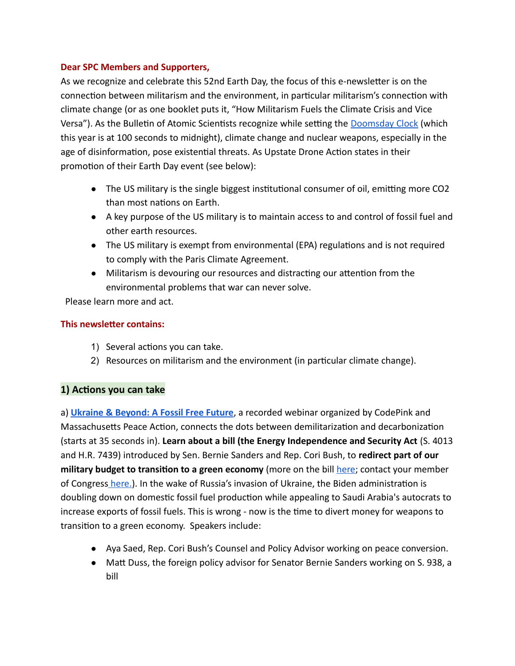## **Dear SPC Members and Supporters,**

As we recognize and celebrate this 52nd Earth Day, the focus of this e-newsletter is on the connection between militarism and the environment, in particular militarism's connection with climate change (or as one booklet puts it, "How Militarism Fuels the Climate Crisis and Vice Versa"). As the Bulletin of Atomic Scientists recognize while setting the Doomsday Clock (which this year is at 100 seconds to midnight), climate change and nuclear weapons, especially in the age of disinformation, pose existential threats. As Upstate Drone Action states in their promotion of their Earth Day event (see below):

- The US military is the single biggest institutional consumer of oil, emitting more CO2 than most nations on Earth.
- A key purpose of the US military is to maintain access to and control of fossil fuel and other earth resources.
- The US military is exempt from environmental (EPA) regulations and is not required to comply with the Paris Climate Agreement.
- Militarism is devouring our resources and distracting our attention from the environmental problems that war can never solve.

Please learn more and act.

## **This newsletter contains:**

- 1) Several actions you can take.
- 2) Resources on militarism and the environment (in particular climate change).

## **1) Actions you can take**

a) **Ukraine & Beyond : A Fossil Free Future**, a recorded webinar organized by CodePink and Massachusetts Peace Action, connects the dots between demilitarization and decarbonization (starts at 35 seconds in). **Learn about a bill (the Energy Independence and Security Act** (S. 4013 and H.R. 7439) introduced by Sen. Bernie Sanders and Rep. Cori Bush, to **redirect part of our military budget to transition to a green economy** (more on the bill here; contact your member of Congress here.). In the wake of Russia's invasion of Ukraine, the Biden administration is doubling down on domestic fossil fuel production while appealing to Saudi Arabia's autocrats to increase exports of fossil fuels. This is wrong - now is the time to divert money for weapons to transition to a green economy. Speakers include:

- Aya Saed, Rep. Cori Bush's Counsel and Policy Advisor working on peace conversion.
- Matt Duss, the foreign policy advisor for Senator Bernie Sanders working on S. 938, a bill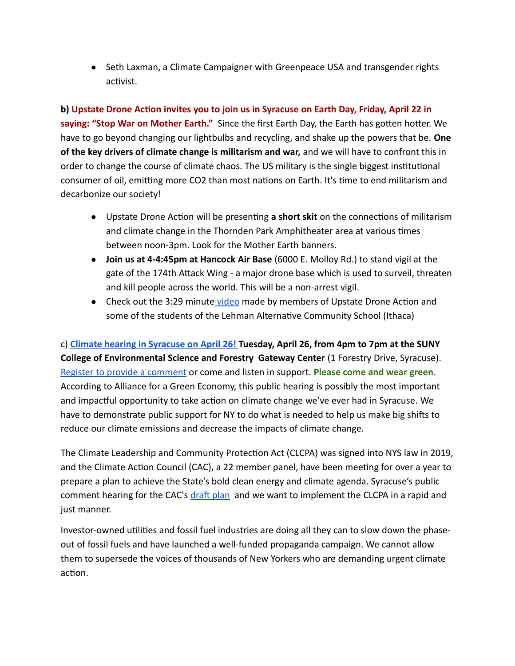● Seth Laxman, a Climate Campaigner with Greenpeace USA and transgender rights activist.

**b) Upstate Drone Action invites you to join us in Syracuse on Earth Day, Friday, April 22 in saying: "Stop War on Mother Earth."** Since the first Earth Day, the Earth has gotten hotter. We have to go beyond changing our lightbulbs and recycling, and shake up the powers that be. **One of the key drivers of climate change is militarism and war,** and we will have to confront this in order to change the course of climate chaos. The US military is the single biggest institutional consumer of oil, emitting more CO2 than most nations on Earth. It's time to end militarism and decarbonize our society!

- Upstate Drone Action will be presenting **a short skit** on the connections of militarism and climate change in the Thornden Park Amphitheater area at various times between noon-3pm. Look for the Mother Earth banners.
- **Join us at 4-4:45pm at Hancock Air Base** (6000 E. Molloy Rd.) to stand vigil at the gate of the 174th Attack Wing - a major drone base which is used to surveil, threaten and kill people across the world. This will be a non-arrest vigil.
- Check out the 3:29 minute video made by members of Upstate Drone Action and some of the students of the Lehman Alternative Community School (Ithaca)

c) **Climate hearing in Syracuse on April 26! Tuesday, April 26, from 4pm to 7pm at the SUNY College of Environmental Science and Forestry  Gateway Center** (1 Forestry Drive, Syracuse). Register to provide a comment or come and listen in support. **Please come and wear green.**  According to Alliance for a Green Economy, this public hearing is possibly the most important and impactful opportunity to take action on climate change we've ever had in Syracuse. We have to demonstrate public support for NY to do what is needed to help us make big shifts to reduce our climate emissions and decrease the impacts of climate change.

The Climate Leadership and Community Protection Act (CLCPA) was signed into NYS law in 2019, and the Climate Action Council (CAC), a 22 member panel, have been meeting for over a year to prepare a plan to achieve the State's bold clean energy and climate agenda. Syracuse's public comment hearing for the CAC's draft plan and we want to implement the CLCPA in a rapid and just manner.

Investor-owned utilities and fossil fuel industries are doing all they can to slow down the phaseout of fossil fuels and have launched a well-funded propaganda campaign. We cannot allow them to supersede the voices of thousands of New Yorkers who are demanding urgent climate action.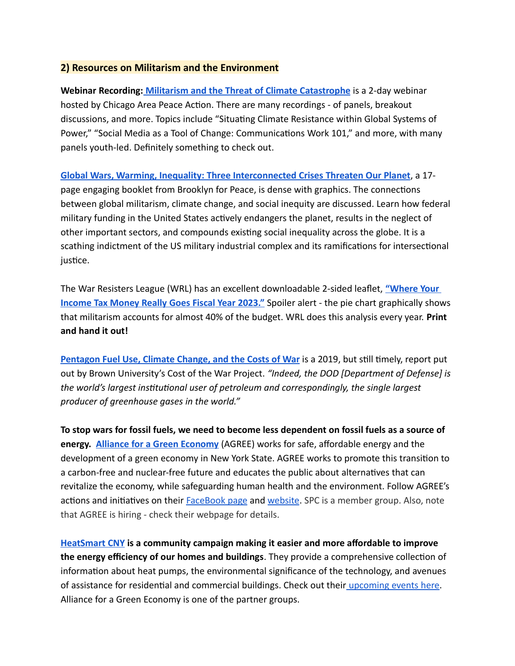## **2) Resources on Militarism and the Environment**

**Webinar Recording: Militarism and the Threat of Climate Catastrophe** is a 2-day webinar hosted by Chicago Area Peace Action. There are many recordings - of panels, breakout discussions, and more. Topics include "Situating Climate Resistance within Global Systems of Power," "Social Media as a Tool of Change: Communications Work 101," and more, with many panels youth-led. Definitely something to check out.

**Global Wars, Warming, Inequality: Three Interconnected Crises Threaten Our Planet**, a 17page engaging booklet from Brooklyn for Peace, is dense with graphics. The connections between global militarism, climate change, and social inequity are discussed. Learn how federal military funding in the United States actively endangers the planet, results in the neglect of other important sectors, and compounds existing social inequality across the globe. It is a scathing indictment of the US military industrial complex and its ramifications for intersectional justice.

The War Resisters League (WRL) has an excellent downloadable 2-sided leaflet, **" Where Your Income Tax Money Really Goes Fiscal Year 2023."** Spoiler alert - the pie chart graphically shows that militarism accounts for almost 40% of the budget. WRL does this analysis every year. **Print and hand it out!**

**Pentagon Fuel Use, Climate Change, and the Costs of War** is a 2019, but still timely, report put out by Brown University's Cost of the War Project. *"Indeed, the DOD [Department of Defense] is the world's largest institutional user of petroleum and correspondingly, the single largest producer of greenhouse gases in the world."*

**To stop wars for fossil fuels, we need to become less dependent on fossil fuels as a source of energy. Alliance for a Green Economy** (AGREE) works for safe, affordable energy and the development of a green economy in New York State. AGREE works to promote this transition to a carbon-free and nuclear-free future and educates the public about alternatives that can revitalize the economy, while safeguarding human health and the environment. Follow AGREE's actions and initiatives on their FaceBook page and website. SPC is a member group. Also, note that AGREE is hiring - check their webpage for details.

 **HeatSmart CNY is a community campaign making it easier and more affordable to improve the energy efficiency of our homes and buildings**. They provide a comprehensive collection of information about heat pumps, the environmental significance of the technology, and avenues of assistance for residential and commercial buildings. Check out their upcoming events here. Alliance for a Green Economy is one of the partner groups.